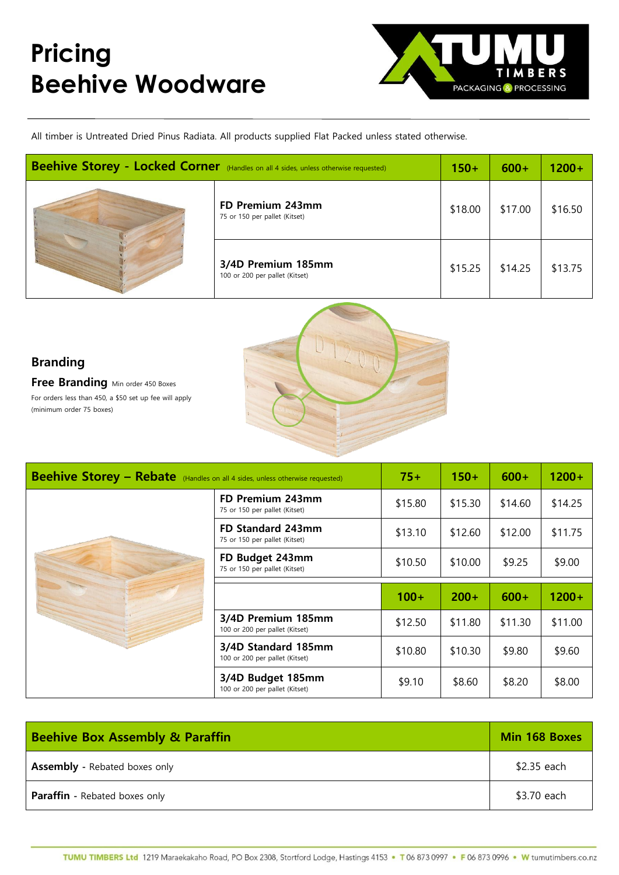## **Pricing Beehive Woodware**



All timber is Untreated Dried Pinus Radiata. All products supplied Flat Packed unless stated otherwise.

| Beehive Storey - Locked Corner (Handles on all 4 sides, unless otherwise requested) |                                                      | $150+$  | $600+$  | $1200 +$ |
|-------------------------------------------------------------------------------------|------------------------------------------------------|---------|---------|----------|
|                                                                                     | FD Premium 243mm<br>75 or 150 per pallet (Kitset)    | \$18.00 | \$17.00 | \$16.50  |
|                                                                                     | 3/4D Premium 185mm<br>100 or 200 per pallet (Kitset) | \$15.25 | \$14.25 | \$13.75  |

## **Branding**

**Free Branding** Min order 450 Boxes For orders less than 450, a \$50 set up fee will apply (minimum order 75 boxes)



| <b>Beehive Storey - Rebate</b> (Handles on all 4 sides, unless otherwise requested) |                                                       | $75+$   | $150+$  | $600+$  | $1200+$  |
|-------------------------------------------------------------------------------------|-------------------------------------------------------|---------|---------|---------|----------|
|                                                                                     | FD Premium 243mm<br>75 or 150 per pallet (Kitset)     | \$15.80 | \$15.30 | \$14.60 | \$14.25  |
|                                                                                     | FD Standard 243mm<br>75 or 150 per pallet (Kitset)    | \$13.10 | \$12.60 | \$12.00 | \$11.75  |
|                                                                                     | FD Budget 243mm<br>75 or 150 per pallet (Kitset)      | \$10.50 | \$10.00 | \$9.25  | \$9.00   |
|                                                                                     |                                                       |         |         |         |          |
|                                                                                     |                                                       | $100+$  | $200+$  | $600+$  | $1200 +$ |
|                                                                                     | 3/4D Premium 185mm<br>100 or 200 per pallet (Kitset)  | \$12.50 | \$11.80 | \$11.30 | \$11.00  |
|                                                                                     | 3/4D Standard 185mm<br>100 or 200 per pallet (Kitset) | \$10.80 | \$10.30 | \$9.80  | \$9.60   |

| <b>Beehive Box Assembly &amp; Paraffin</b> | Min 168 Boxes |
|--------------------------------------------|---------------|
| <b>Assembly</b> - Rebated boxes only       | \$2.35 each   |
| <b>Paraffin</b> - Rebated boxes only       | \$3.70 each   |